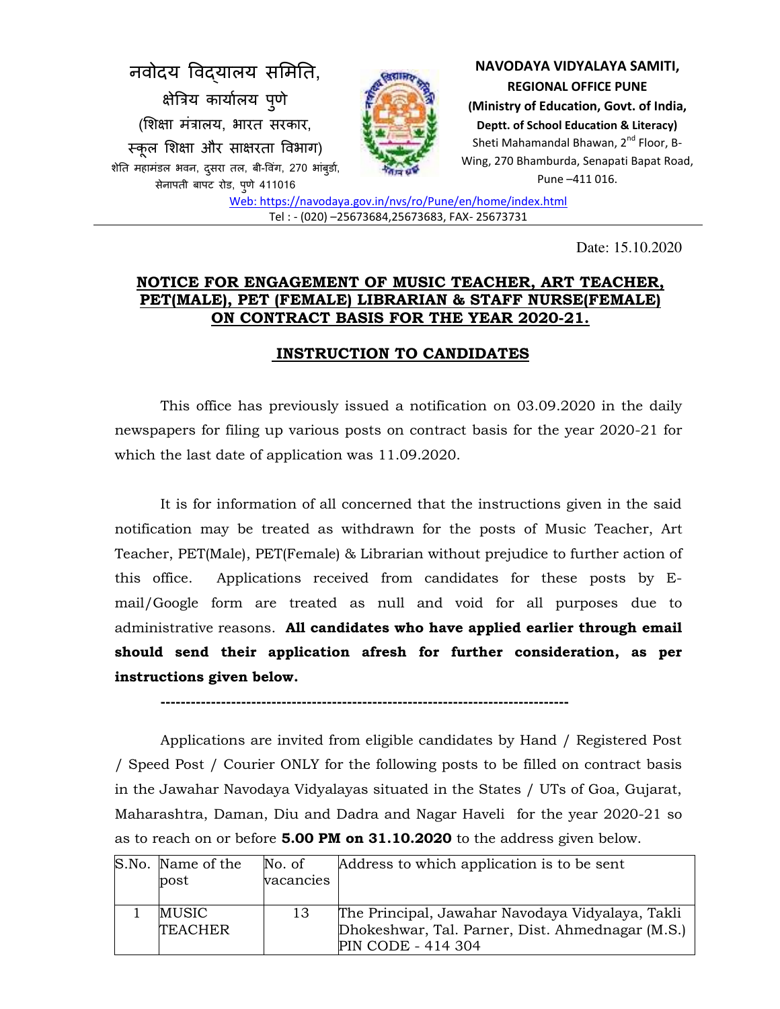

Date: 15.10.2020

## **NOTICE FOR ENGAGEMENT OF MUSIC TEACHER, ART TEACHER, PET(MALE), PET (FEMALE) LIBRARIAN & STAFF NURSE(FEMALE) ON CONTRACT BASIS FOR THE YEAR 2020-21.**

# **INSTRUCTION TO CANDIDATES**

This office has previously issued a notification on 03.09.2020 in the daily newspapers for filing up various posts on contract basis for the year 2020-21 for which the last date of application was 11.09.2020.

It is for information of all concerned that the instructions given in the said notification may be treated as withdrawn for the posts of Music Teacher, Art Teacher, PET(Male), PET(Female) & Librarian without prejudice to further action of this office. Applications received from candidates for these posts by Email/Google form are treated as null and void for all purposes due to administrative reasons. **All candidates who have applied earlier through email should send their application afresh for further consideration, as per instructions given below.** 

**---------------------------------------------------------------------------------**

Applications are invited from eligible candidates by Hand / Registered Post / Speed Post / Courier ONLY for the following posts to be filled on contract basis in the Jawahar Navodaya Vidyalayas situated in the States / UTs of Goa, Gujarat, Maharashtra, Daman, Diu and Dadra and Nagar Haveli for the year 2020-21 so as to reach on or before **5.00 PM on 31.10.2020** to the address given below.

| S.No. Name of the<br>post | No. of<br>vacancies | Address to which application is to be sent       |
|---------------------------|---------------------|--------------------------------------------------|
|                           |                     |                                                  |
| MUSIC                     | 13                  | The Principal, Jawahar Navodaya Vidyalaya, Takli |
| <b>TEACHER</b>            |                     | Dhokeshwar, Tal. Parner, Dist. Ahmednagar (M.S.) |
|                           |                     | PIN CODE - 414 304                               |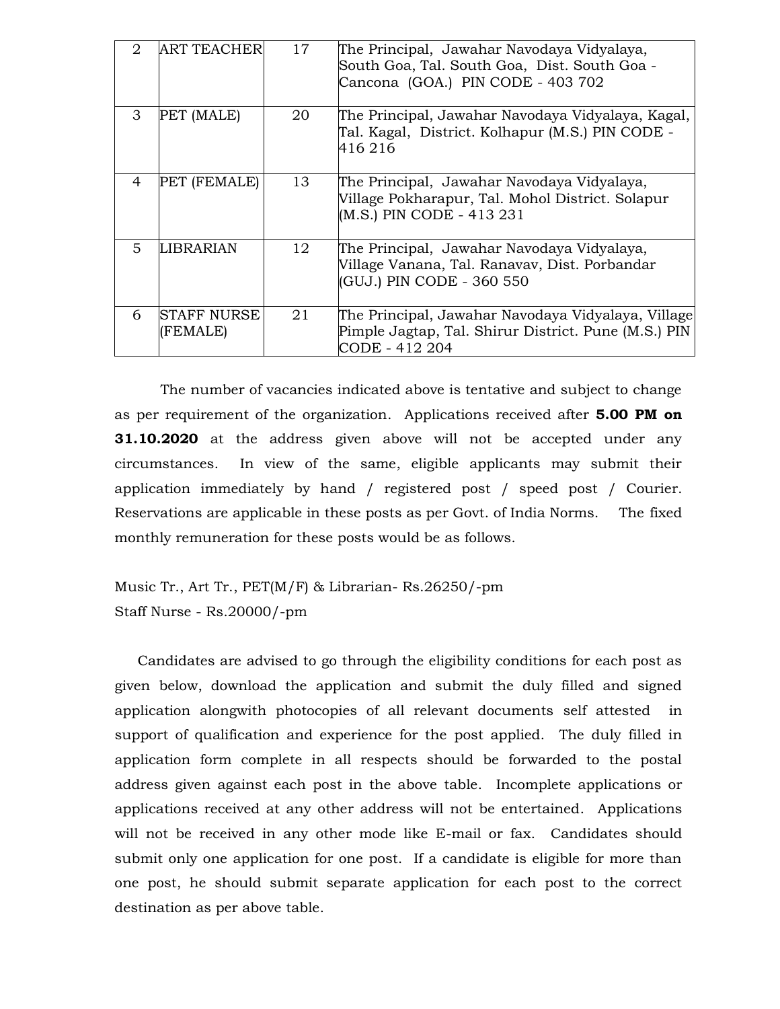| 2 | ART TEACHER             | 17 | The Principal, Jawahar Navodaya Vidyalaya,<br>South Goa, Tal. South Goa, Dist. South Goa -<br>Cancona (GOA.) PIN CODE - 403 702 |
|---|-------------------------|----|---------------------------------------------------------------------------------------------------------------------------------|
| 3 | PET (MALE)              | 20 | The Principal, Jawahar Navodaya Vidyalaya, Kagal,<br>Tal. Kagal, District. Kolhapur (M.S.) PIN CODE -<br>416 216                |
| 4 | PET (FEMALE)            | 13 | The Principal, Jawahar Navodaya Vidyalaya,<br>Village Pokharapur, Tal. Mohol District. Solapur<br>(M.S.) PIN CODE - 413 231     |
| 5 | LIBRARIAN               | 12 | The Principal, Jawahar Navodaya Vidyalaya,<br>Village Vanana, Tal. Ranavav, Dist. Porbandar<br>(GUJ.) PIN CODE - 360 550        |
| 6 | STAFF NURSE<br>(FEMALE) | 21 | The Principal, Jawahar Navodaya Vidyalaya, Village <br>Pimple Jagtap, Tal. Shirur District. Pune (M.S.) PIN<br>CODE - 412 204   |

 The number of vacancies indicated above is tentative and subject to change as per requirement of the organization. Applications received after **5.00 PM on 31.10.2020** at the address given above will not be accepted under any circumstances. In view of the same, eligible applicants may submit their application immediately by hand / registered post / speed post / Courier. Reservations are applicable in these posts as per Govt. of India Norms. The fixed monthly remuneration for these posts would be as follows.

Music Tr., Art Tr., PET(M/F) & Librarian- Rs.26250/-pm Staff Nurse - Rs.20000/-pm

Candidates are advised to go through the eligibility conditions for each post as given below, download the application and submit the duly filled and signed application alongwith photocopies of all relevant documents self attested in support of qualification and experience for the post applied. The duly filled in application form complete in all respects should be forwarded to the postal address given against each post in the above table. Incomplete applications or applications received at any other address will not be entertained. Applications will not be received in any other mode like E-mail or fax. Candidates should submit only one application for one post. If a candidate is eligible for more than one post, he should submit separate application for each post to the correct destination as per above table.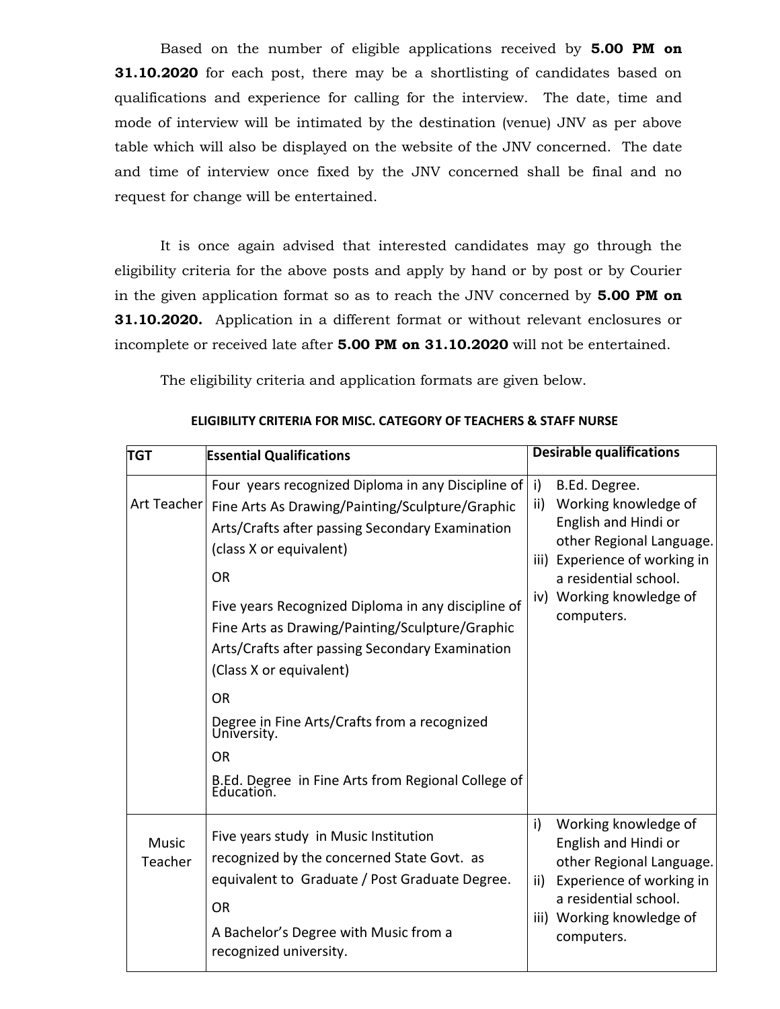Based on the number of eligible applications received by **5.00 PM on 31.10.2020** for each post, there may be a shortlisting of candidates based on qualifications and experience for calling for the interview. The date, time and mode of interview will be intimated by the destination (venue) JNV as per above table which will also be displayed on the website of the JNV concerned. The date and time of interview once fixed by the JNV concerned shall be final and no request for change will be entertained.

 It is once again advised that interested candidates may go through the eligibility criteria for the above posts and apply by hand or by post or by Courier in the given application format so as to reach the JNV concerned by **5.00 PM on 31.10.2020.** Application in a different format or without relevant enclosures or incomplete or received late after **5.00 PM on 31.10.2020** will not be entertained.

The eligibility criteria and application formats are given below.

| <b>TGT</b>              | <b>Essential Qualifications</b>                                                                                                                                                                                                                                                                                                                                                                                                                                                                                                                      | <b>Desirable qualifications</b>                                                                                                                                                                            |
|-------------------------|------------------------------------------------------------------------------------------------------------------------------------------------------------------------------------------------------------------------------------------------------------------------------------------------------------------------------------------------------------------------------------------------------------------------------------------------------------------------------------------------------------------------------------------------------|------------------------------------------------------------------------------------------------------------------------------------------------------------------------------------------------------------|
| Art Teacher             | Four years recognized Diploma in any Discipline of<br>Fine Arts As Drawing/Painting/Sculpture/Graphic<br>Arts/Crafts after passing Secondary Examination<br>(class X or equivalent)<br><b>OR</b><br>Five years Recognized Diploma in any discipline of<br>Fine Arts as Drawing/Painting/Sculpture/Graphic<br>Arts/Crafts after passing Secondary Examination<br>(Class X or equivalent)<br><b>OR</b><br>Degree in Fine Arts/Crafts from a recognized<br>University.<br><b>OR</b><br>B.Ed. Degree in Fine Arts from Regional College of<br>Education. | i)<br>B.Ed. Degree.<br>Working knowledge of<br>ii)<br>English and Hindi or<br>other Regional Language.<br>iii) Experience of working in<br>a residential school.<br>iv) Working knowledge of<br>computers. |
| <b>Music</b><br>Teacher | Five years study in Music Institution<br>recognized by the concerned State Govt. as<br>equivalent to Graduate / Post Graduate Degree.<br><b>OR</b><br>A Bachelor's Degree with Music from a<br>recognized university.                                                                                                                                                                                                                                                                                                                                | i)<br>Working knowledge of<br>English and Hindi or<br>other Regional Language.<br>Experience of working in<br>ii)<br>a residential school.<br>iii) Working knowledge of<br>computers.                      |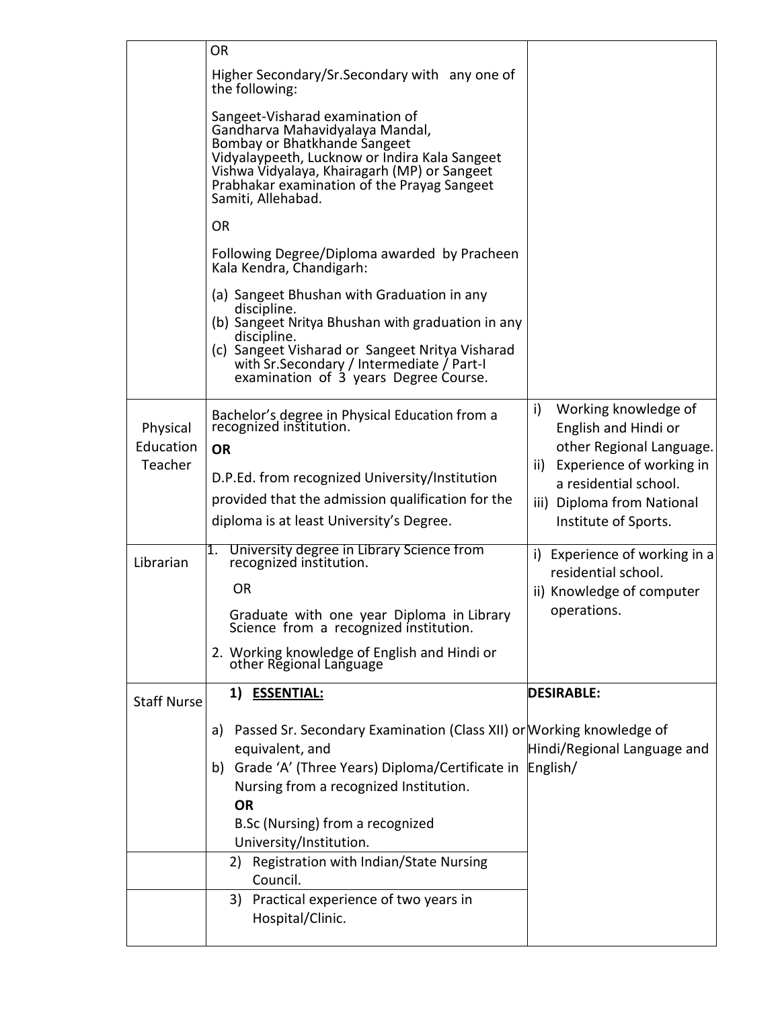|                                  | <b>OR</b>                                                                                                                                                                                                                                                                                                                                                                                                                                                                                                                                                                                                                                                                                                       |                                                                                                                                                                                                  |
|----------------------------------|-----------------------------------------------------------------------------------------------------------------------------------------------------------------------------------------------------------------------------------------------------------------------------------------------------------------------------------------------------------------------------------------------------------------------------------------------------------------------------------------------------------------------------------------------------------------------------------------------------------------------------------------------------------------------------------------------------------------|--------------------------------------------------------------------------------------------------------------------------------------------------------------------------------------------------|
|                                  | Higher Secondary/Sr.Secondary with any one of<br>the following:<br>Sangeet-Visharad examination of<br>Gandharva Mahavidyalaya Mandal,<br>Bombay or Bhatkhande Sangeet<br>Vidyalaypeeth, Lucknow or Indira Kala Sangeet<br>Vishwa Vidyalaya, Khairagarh (MP) or Sangeet<br>Prabhakar examination of the Prayag Sangeet<br>Samiti, Allehabad.<br><b>OR</b><br>Following Degree/Diploma awarded by Pracheen<br>Kala Kendra, Chandigarh:<br>(a) Sangeet Bhushan with Graduation in any<br>discipline.<br>(b) Sangeet Nritya Bhushan with graduation in any<br>discipline.<br>(c) Sangeet Visharad or Sangeet Nritya Visharad<br>with Sr. Secondary / Intermediate / Part-I<br>examination of 3 years Degree Course. |                                                                                                                                                                                                  |
| Physical<br>Education<br>Teacher | Bachelor's degree in Physical Education from a<br>recognized institution.<br><b>OR</b><br>D.P.Ed. from recognized University/Institution<br>provided that the admission qualification for the<br>diploma is at least University's Degree.                                                                                                                                                                                                                                                                                                                                                                                                                                                                       | i)<br>Working knowledge of<br>English and Hindi or<br>other Regional Language.<br>Experience of working in<br>ii)<br>a residential school.<br>iii) Diploma from National<br>Institute of Sports. |
| Librarian                        | University degree in Library Science from<br>1.<br>recognized institution.<br><b>OR</b><br>Graduate with one year Diploma in Library<br>Science from a recognized institution.<br>2. Working knowledge of English and Hindi or<br>other Regional Language                                                                                                                                                                                                                                                                                                                                                                                                                                                       | i) Experience of working in a<br>residential school.<br>ii) Knowledge of computer<br>operations.                                                                                                 |
|                                  | 1) ESSENTIAL:                                                                                                                                                                                                                                                                                                                                                                                                                                                                                                                                                                                                                                                                                                   | <b>DESIRABLE:</b>                                                                                                                                                                                |
| <b>Staff Nurse</b>               |                                                                                                                                                                                                                                                                                                                                                                                                                                                                                                                                                                                                                                                                                                                 |                                                                                                                                                                                                  |
|                                  | a) Passed Sr. Secondary Examination (Class XII) or Working knowledge of<br>equivalent, and<br>b) Grade 'A' (Three Years) Diploma/Certificate in<br>Nursing from a recognized Institution.<br><b>OR</b><br>B.Sc (Nursing) from a recognized<br>University/Institution.<br>Registration with Indian/State Nursing<br>2)<br>Council.                                                                                                                                                                                                                                                                                                                                                                               | Hindi/Regional Language and<br>English/                                                                                                                                                          |
|                                  | 3) Practical experience of two years in<br>Hospital/Clinic.                                                                                                                                                                                                                                                                                                                                                                                                                                                                                                                                                                                                                                                     |                                                                                                                                                                                                  |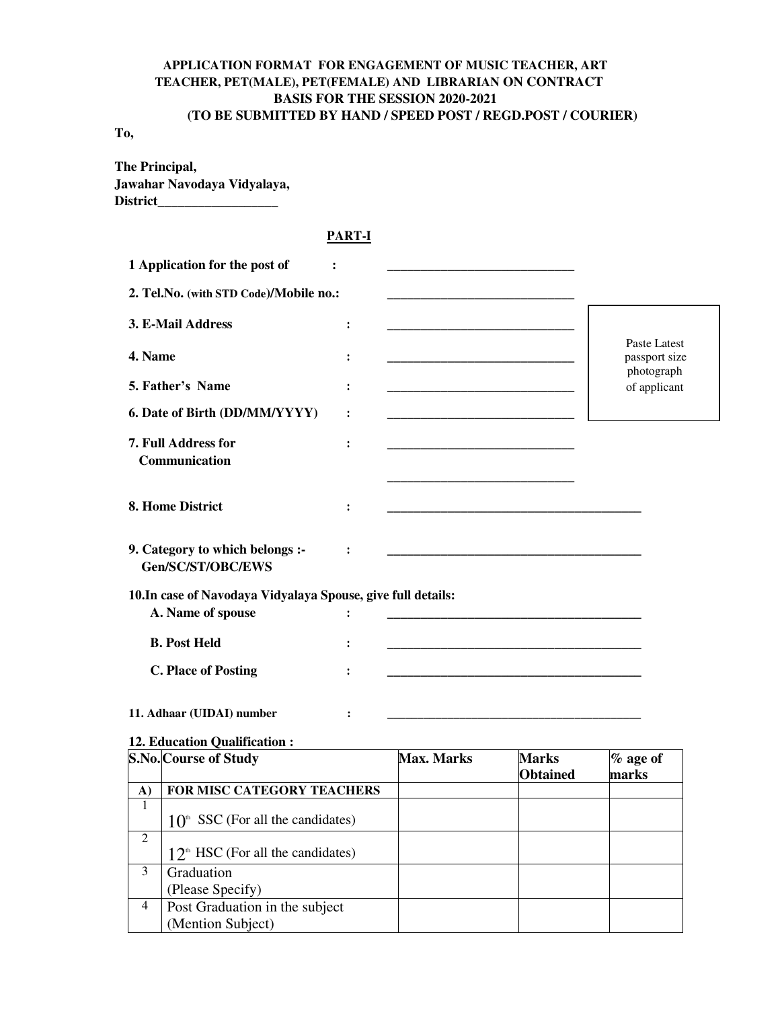## **APPLICATION FORMAT FOR ENGAGEMENT OF MUSIC TEACHER, ART TEACHER, PET(MALE), PET(FEMALE) AND LIBRARIAN ON CONTRACT BASIS FOR THE SESSION 2020-2021 (TO BE SUBMITTED BY HAND / SPEED POST / REGD.POST / COURIER)**

#### **To,**

**The Principal, Jawahar Navodaya Vidyalaya, District\_\_\_\_\_\_\_\_\_\_\_\_\_\_\_\_\_\_** 

### **PART-I**

|                | 1 Application for the post of<br>:                           |                |                   |                                                                                                                      |                               |  |
|----------------|--------------------------------------------------------------|----------------|-------------------|----------------------------------------------------------------------------------------------------------------------|-------------------------------|--|
|                | 2. Tel.No. (with STD Code)/Mobile no.:                       |                |                   |                                                                                                                      |                               |  |
|                | 3. E-Mail Address                                            | :              |                   |                                                                                                                      |                               |  |
| 4. Name        |                                                              |                |                   |                                                                                                                      | Paste Latest<br>passport size |  |
|                | 5. Father's Name                                             | ፡              |                   |                                                                                                                      | photograph<br>of applicant    |  |
|                | 6. Date of Birth (DD/MM/YYYY)                                | :              |                   |                                                                                                                      |                               |  |
|                | 7. Full Address for<br>Communication                         | :              |                   |                                                                                                                      |                               |  |
|                | 8. Home District                                             | :              |                   | <u> 1980 - Johann Barbara, martxa alemaniar arg</u>                                                                  |                               |  |
|                | 9. Category to which belongs :-<br>Gen/SC/ST/OBC/EWS         |                |                   | <u> 1980 - Jan James James Jan James James James James James James James James James James James James James Jam</u> |                               |  |
|                | 10. In case of Navodaya Vidyalaya Spouse, give full details: |                |                   |                                                                                                                      |                               |  |
|                | A. Name of spouse                                            | :              |                   |                                                                                                                      |                               |  |
|                | <b>B. Post Held</b>                                          | ፡              |                   |                                                                                                                      |                               |  |
|                |                                                              |                |                   |                                                                                                                      |                               |  |
|                | <b>C. Place of Posting</b>                                   |                |                   |                                                                                                                      |                               |  |
|                | 11. Adhaar (UIDAI) number                                    | $\ddot{\cdot}$ |                   |                                                                                                                      |                               |  |
|                | 12. Education Qualification:                                 |                |                   |                                                                                                                      |                               |  |
|                | S.No. Course of Study                                        |                | <b>Max. Marks</b> | <b>Marks</b><br><b>Obtained</b>                                                                                      | $%$ age of<br>marks           |  |
| A)             | FOR MISC CATEGORY TEACHERS                                   |                |                   |                                                                                                                      |                               |  |
| $\mathbf{1}$   | $10th$ SSC (For all the candidates)                          |                |                   |                                                                                                                      |                               |  |
| $\overline{2}$ | $12th HSC$ (For all the candidates)                          |                |                   |                                                                                                                      |                               |  |
| $\overline{3}$ | Graduation                                                   |                |                   |                                                                                                                      |                               |  |
|                | (Please Specify)                                             |                |                   |                                                                                                                      |                               |  |
| $\overline{4}$ | Post Graduation in the subject<br>(Mention Subject)          |                |                   |                                                                                                                      |                               |  |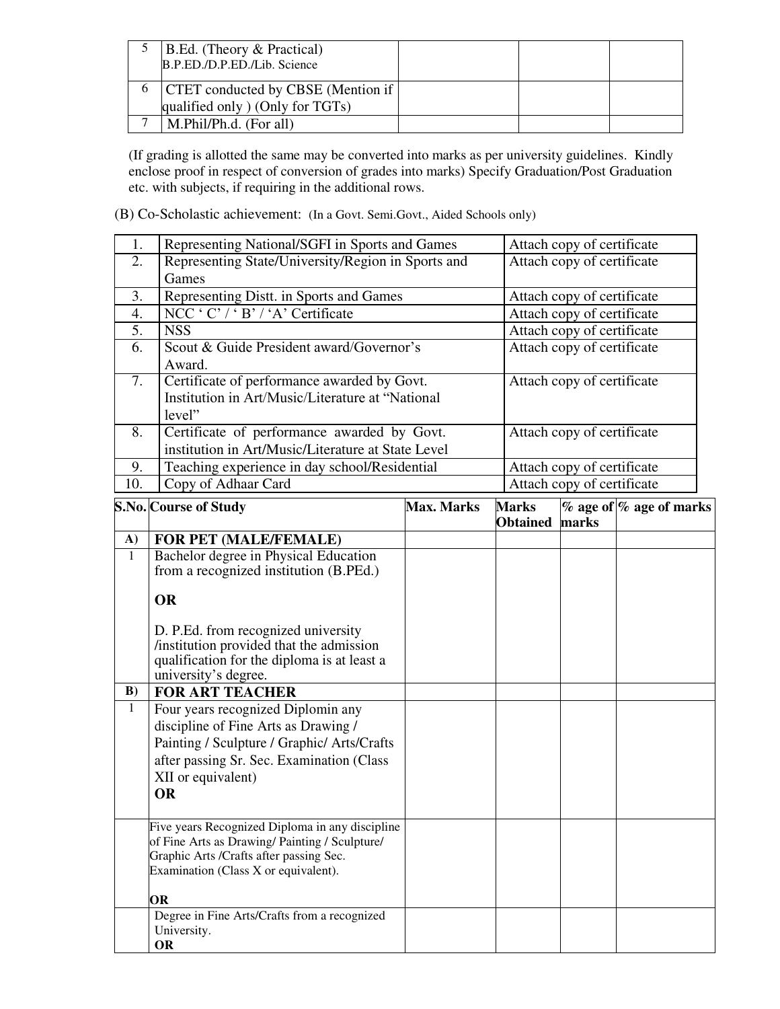| <b>B.Ed.</b> (Theory & Practical)<br>B.P.ED./D.P.ED./Lib. Science           |  |  |
|-----------------------------------------------------------------------------|--|--|
| <b>CTET</b> conducted by CBSE (Mention if<br>qualified only (Only for TGTs) |  |  |
| M.Phil/Ph.d. (For all)                                                      |  |  |

(If grading is allotted the same may be converted into marks as per university guidelines. Kindly enclose proof in respect of conversion of grades into marks) Specify Graduation/Post Graduation etc. with subjects, if requiring in the additional rows.

(B) Co-Scholastic achievement: (In a Govt. Semi.Govt., Aided Schools only)

| 1.  | Representing National/SGFI in Sports and Games     | Attach copy of certificate |
|-----|----------------------------------------------------|----------------------------|
| 2.  | Representing State/University/Region in Sports and | Attach copy of certificate |
|     | Games                                              |                            |
| 3.  | Representing Distt. in Sports and Games            | Attach copy of certificate |
| 4.  | NCC ' C' / ' B' / 'A' Certificate                  | Attach copy of certificate |
| 5.  | <b>NSS</b>                                         | Attach copy of certificate |
| 6.  | Scout & Guide President award/Governor's           | Attach copy of certificate |
|     | Award.                                             |                            |
| 7.  | Certificate of performance awarded by Govt.        | Attach copy of certificate |
|     | Institution in Art/Music/Literature at "National   |                            |
|     | level"                                             |                            |
| 8.  | Certificate of performance awarded by Govt.        | Attach copy of certificate |
|     | institution in Art/Music/Literature at State Level |                            |
| 9.  | Teaching experience in day school/Residential      | Attach copy of certificate |
| 10. | Copy of Adhaar Card                                | Attach copy of certificate |

|              | S.No. Course of Study                           | <b>Max. Marks</b> | <b>Marks</b>    |       | $%$ age of $%$ age of marks |
|--------------|-------------------------------------------------|-------------------|-----------------|-------|-----------------------------|
|              |                                                 |                   | <b>Obtained</b> | marks |                             |
| $\mathbf{A}$ | FOR PET (MALE/FEMALE)                           |                   |                 |       |                             |
| $\mathbf{1}$ | Bachelor degree in Physical Education           |                   |                 |       |                             |
|              | from a recognized institution (B.PEd.)          |                   |                 |       |                             |
|              | <b>OR</b>                                       |                   |                 |       |                             |
|              | D. P.Ed. from recognized university             |                   |                 |       |                             |
|              | institution provided that the admission         |                   |                 |       |                             |
|              | qualification for the diploma is at least a     |                   |                 |       |                             |
|              | university's degree.                            |                   |                 |       |                             |
| $\bf{B}$     | <b>FOR ART TEACHER</b>                          |                   |                 |       |                             |
| $\mathbf{1}$ | Four years recognized Diplomin any              |                   |                 |       |                             |
|              | discipline of Fine Arts as Drawing /            |                   |                 |       |                             |
|              | Painting / Sculpture / Graphic/ Arts/Crafts     |                   |                 |       |                             |
|              | after passing Sr. Sec. Examination (Class       |                   |                 |       |                             |
|              | XII or equivalent)                              |                   |                 |       |                             |
|              | <b>OR</b>                                       |                   |                 |       |                             |
|              |                                                 |                   |                 |       |                             |
|              | Five years Recognized Diploma in any discipline |                   |                 |       |                             |
|              | of Fine Arts as Drawing/Painting / Sculpture/   |                   |                 |       |                             |
|              | Graphic Arts /Crafts after passing Sec.         |                   |                 |       |                             |
|              | Examination (Class X or equivalent).            |                   |                 |       |                             |
|              | 0R                                              |                   |                 |       |                             |
|              | Degree in Fine Arts/Crafts from a recognized    |                   |                 |       |                             |
|              | University.                                     |                   |                 |       |                             |
|              | <b>OR</b>                                       |                   |                 |       |                             |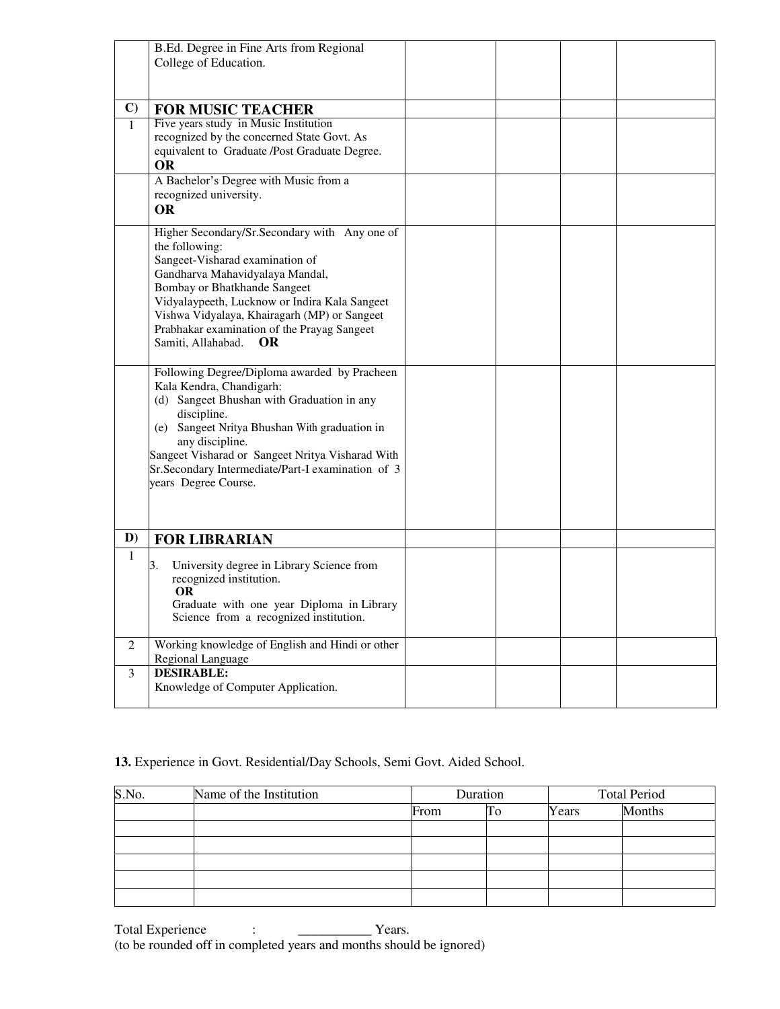|                | B.Ed. Degree in Fine Arts from Regional<br>College of Education.                                                                                                                                                                                                                                                                                   |  |  |
|----------------|----------------------------------------------------------------------------------------------------------------------------------------------------------------------------------------------------------------------------------------------------------------------------------------------------------------------------------------------------|--|--|
|                |                                                                                                                                                                                                                                                                                                                                                    |  |  |
| $\mathbf{C}$   | <b>FOR MUSIC TEACHER</b>                                                                                                                                                                                                                                                                                                                           |  |  |
| $\mathbf{1}$   | Five years study in Music Institution<br>recognized by the concerned State Govt. As<br>equivalent to Graduate /Post Graduate Degree.<br><b>OR</b>                                                                                                                                                                                                  |  |  |
|                | A Bachelor's Degree with Music from a<br>recognized university.<br><b>OR</b>                                                                                                                                                                                                                                                                       |  |  |
|                | Higher Secondary/Sr.Secondary with Any one of<br>the following:<br>Sangeet-Visharad examination of<br>Gandharva Mahavidyalaya Mandal,<br>Bombay or Bhatkhande Sangeet<br>Vidyalaypeeth, Lucknow or Indira Kala Sangeet<br>Vishwa Vidyalaya, Khairagarh (MP) or Sangeet<br>Prabhakar examination of the Prayag Sangeet<br>Samiti, Allahabad.<br>OR. |  |  |
|                | Following Degree/Diploma awarded by Pracheen<br>Kala Kendra, Chandigarh:<br>(d) Sangeet Bhushan with Graduation in any<br>discipline.<br>(e) Sangeet Nritya Bhushan With graduation in<br>any discipline.<br>Sangeet Visharad or Sangeet Nritya Visharad With<br>Sr.Secondary Intermediate/Part-I examination of 3<br>years Degree Course.         |  |  |
| D)             | <b>FOR LIBRARIAN</b>                                                                                                                                                                                                                                                                                                                               |  |  |
| $\mathbf{1}$   | University degree in Library Science from<br>3.<br>recognized institution.<br><b>OR</b><br>Graduate with one year Diploma in Library<br>Science from a recognized institution.                                                                                                                                                                     |  |  |
| $\mathfrak{2}$ | Working knowledge of English and Hindi or other<br>Regional Language                                                                                                                                                                                                                                                                               |  |  |
| 3              | <b>DESIRABLE:</b><br>Knowledge of Computer Application.                                                                                                                                                                                                                                                                                            |  |  |

## **13.** Experience in Govt. Residential/Day Schools, Semi Govt. Aided School.

| S.No. | Name of the Institution |      | Duration |       | <b>Total Period</b> |  |
|-------|-------------------------|------|----------|-------|---------------------|--|
|       |                         | From | To       | Years | Months              |  |
|       |                         |      |          |       |                     |  |
|       |                         |      |          |       |                     |  |
|       |                         |      |          |       |                     |  |
|       |                         |      |          |       |                     |  |
|       |                         |      |          |       |                     |  |

Total Experience :  $\qquad \qquad : \qquad \qquad \qquad \text{Years.}$ (to be rounded off in completed years and months should be ignored)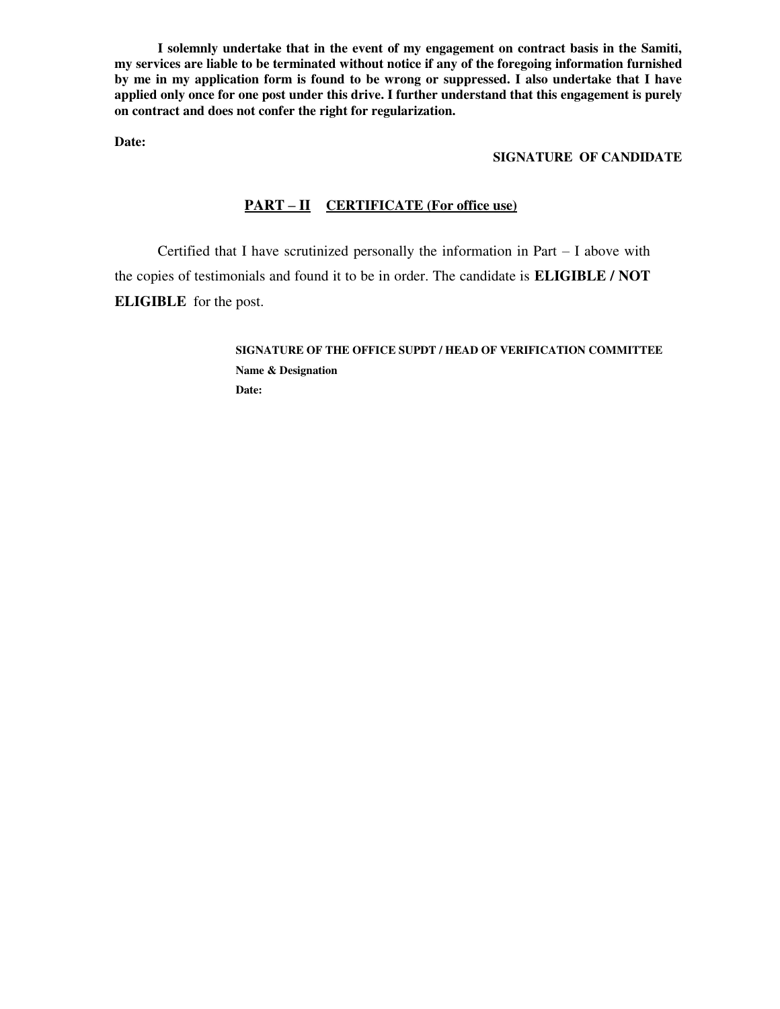**I solemnly undertake that in the event of my engagement on contract basis in the Samiti, my services are liable to be terminated without notice if any of the foregoing information furnished by me in my application form is found to be wrong or suppressed. I also undertake that I have applied only once for one post under this drive. I further understand that this engagement is purely on contract and does not confer the right for regularization.** 

**Date:**

#### **SIGNATURE OF CANDIDATE**

### **PART – II CERTIFICATE (For office use)**

Certified that I have scrutinized personally the information in Part – I above with the copies of testimonials and found it to be in order. The candidate is **ELIGIBLE / NOT ELIGIBLE** for the post.

> **SIGNATURE OF THE OFFICE SUPDT / HEAD OF VERIFICATION COMMITTEE Name & Designation Date:**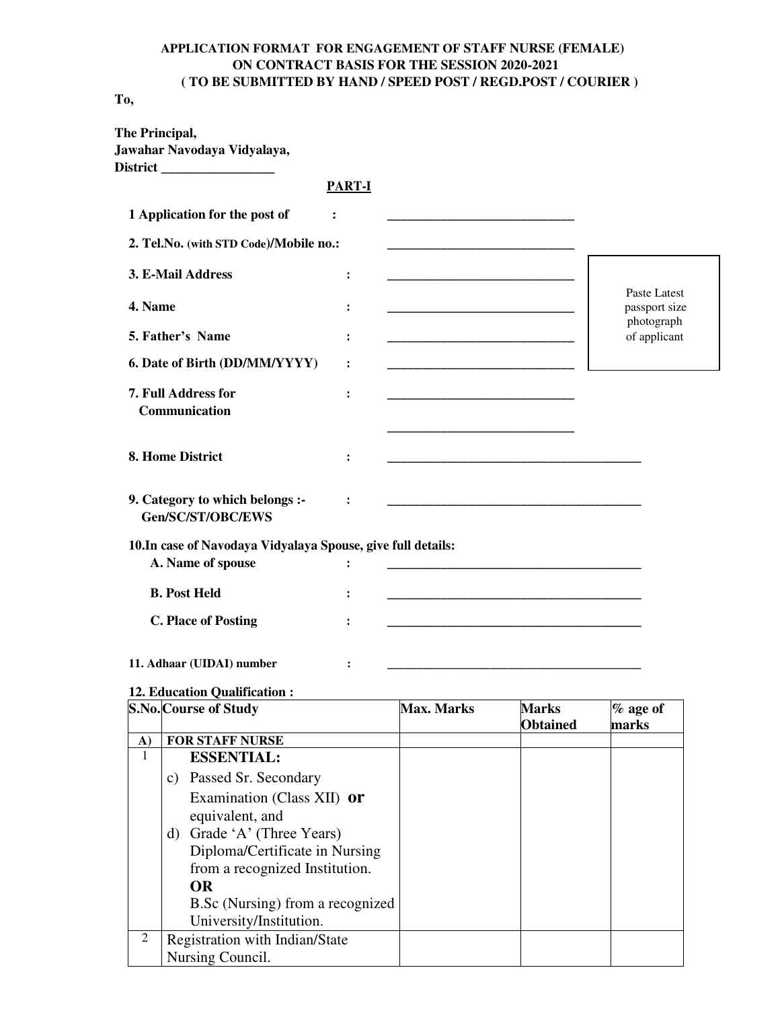## **APPLICATION FORMAT FOR ENGAGEMENT OF STAFF NURSE (FEMALE) ON CONTRACT BASIS FOR THE SESSION 2020-2021 ( TO BE SUBMITTED BY HAND / SPEED POST / REGD.POST / COURIER )**

**To,** 

|                | The Principal,<br>Jawahar Navodaya Vidyalaya,<br>District __________________      |                |                   |                                                                |                               |
|----------------|-----------------------------------------------------------------------------------|----------------|-------------------|----------------------------------------------------------------|-------------------------------|
|                |                                                                                   | <b>PART-I</b>  |                   |                                                                |                               |
|                | 1 Application for the post of                                                     | $\ddot{\cdot}$ |                   |                                                                |                               |
|                | 2. Tel.No. (with STD Code)/Mobile no.:                                            |                |                   |                                                                |                               |
|                | 3. E-Mail Address                                                                 | :              |                   |                                                                |                               |
| 4. Name        |                                                                                   | $\ddot{\cdot}$ |                   |                                                                | Paste Latest<br>passport size |
|                | 5. Father's Name                                                                  | $\ddot{\cdot}$ |                   |                                                                | photograph<br>of applicant    |
|                | 6. Date of Birth (DD/MM/YYYY)                                                     | $\ddot{\cdot}$ |                   |                                                                |                               |
|                | 7. Full Address for<br>Communication                                              | $\ddot{\cdot}$ |                   |                                                                |                               |
|                | 8. Home District                                                                  | :              |                   | <u> 1989 - Johann Barn, amerikansk politiker (d. 1989)</u>     |                               |
|                | 9. Category to which belongs :-<br>Gen/SC/ST/OBC/EWS                              | $\ddot{\cdot}$ |                   |                                                                |                               |
|                | 10. In case of Navodaya Vidyalaya Spouse, give full details:<br>A. Name of spouse | $\ddot{\cdot}$ |                   | <u> 1989 - Johann Barbara, margaret eta idazlea (h. 1989).</u> |                               |
|                | <b>B. Post Held</b>                                                               | $\ddot{\cdot}$ |                   |                                                                |                               |
|                | <b>C. Place of Posting</b>                                                        |                |                   |                                                                |                               |
|                | 11. Adhaar (UIDAI) number                                                         | :              |                   |                                                                |                               |
|                | 12. Education Qualification:<br>S.No. Course of Study                             |                | <b>Max. Marks</b> | <b>Marks</b><br><b>Obtained</b>                                | % age of<br>marks             |
| A)             | <b>FOR STAFF NURSE</b>                                                            |                |                   |                                                                |                               |
| $\mathbf{1}$   | <b>ESSENTIAL:</b>                                                                 |                |                   |                                                                |                               |
|                | c) Passed Sr. Secondary                                                           |                |                   |                                                                |                               |
|                | Examination (Class XII) or                                                        |                |                   |                                                                |                               |
|                | equivalent, and                                                                   |                |                   |                                                                |                               |
|                | d) Grade 'A' (Three Years)                                                        |                |                   |                                                                |                               |
|                | Diploma/Certificate in Nursing                                                    |                |                   |                                                                |                               |
|                | from a recognized Institution.<br><b>OR</b>                                       |                |                   |                                                                |                               |
|                | B.Sc (Nursing) from a recognized                                                  |                |                   |                                                                |                               |
|                | University/Institution.                                                           |                |                   |                                                                |                               |
| $\overline{2}$ | Registration with Indian/State                                                    |                |                   |                                                                |                               |
|                | Nursing Council.                                                                  |                |                   |                                                                |                               |